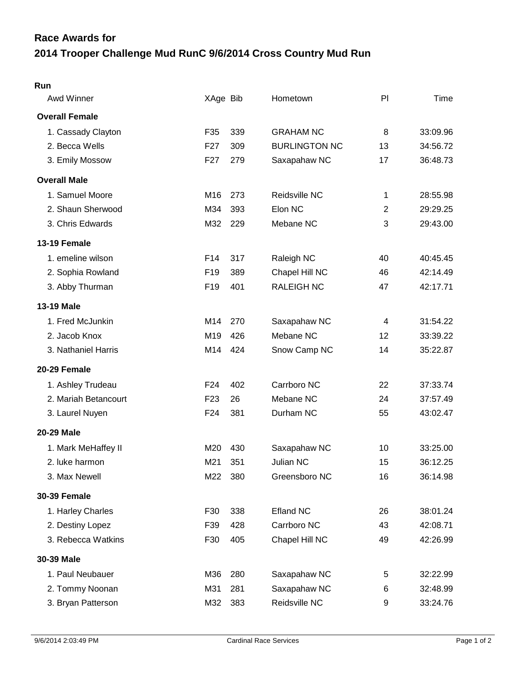## **2014 Trooper Challenge Mud RunC 9/6/2014 Cross Country Mud Run Race Awards for**

| Awd Winner            | XAge Bib        |     | Hometown             | PI | Time     |
|-----------------------|-----------------|-----|----------------------|----|----------|
| <b>Overall Female</b> |                 |     |                      |    |          |
| 1. Cassady Clayton    | F35             | 339 | <b>GRAHAM NC</b>     | 8  | 33:09.96 |
| 2. Becca Wells        | F <sub>27</sub> | 309 | <b>BURLINGTON NC</b> | 13 | 34:56.72 |
| 3. Emily Mossow       | F <sub>27</sub> | 279 | Saxapahaw NC         | 17 | 36:48.73 |
| <b>Overall Male</b>   |                 |     |                      |    |          |
| 1. Samuel Moore       | M16             | 273 | Reidsville NC        | 1  | 28:55.98 |
| 2. Shaun Sherwood     | M34             | 393 | Elon NC              | 2  | 29:29.25 |
| 3. Chris Edwards      | M32             | 229 | Mebane NC            | 3  | 29:43.00 |
| 13-19 Female          |                 |     |                      |    |          |
| 1. emeline wilson     | F <sub>14</sub> | 317 | Raleigh NC           | 40 | 40:45.45 |
| 2. Sophia Rowland     | F <sub>19</sub> | 389 | Chapel Hill NC       | 46 | 42:14.49 |
| 3. Abby Thurman       | F19             | 401 | <b>RALEIGH NC</b>    | 47 | 42:17.71 |
| <b>13-19 Male</b>     |                 |     |                      |    |          |
| 1. Fred McJunkin      | M14             | 270 | Saxapahaw NC         | 4  | 31:54.22 |
| 2. Jacob Knox         | M19             | 426 | Mebane NC            | 12 | 33:39.22 |
| 3. Nathaniel Harris   | M14             | 424 | Snow Camp NC         | 14 | 35:22.87 |
| 20-29 Female          |                 |     |                      |    |          |
| 1. Ashley Trudeau     | F <sub>24</sub> | 402 | Carrboro NC          | 22 | 37:33.74 |
| 2. Mariah Betancourt  | F <sub>23</sub> | 26  | Mebane NC            | 24 | 37:57.49 |
| 3. Laurel Nuyen       | F24             | 381 | Durham NC            | 55 | 43:02.47 |
| <b>20-29 Male</b>     |                 |     |                      |    |          |
| 1. Mark MeHaffey II   | M20             | 430 | Saxapahaw NC         | 10 | 33:25.00 |
| 2. luke harmon        | M21             | 351 | Julian NC            | 15 | 36:12.25 |
| 3. Max Newell         | M22             | 380 | Greensboro NC        | 16 | 36:14.98 |
| <b>30-39 Female</b>   |                 |     |                      |    |          |
| 1. Harley Charles     | F30             | 338 | <b>Efland NC</b>     | 26 | 38:01.24 |
| 2. Destiny Lopez      | F39             | 428 | Carrboro NC          | 43 | 42:08.71 |
| 3. Rebecca Watkins    | F30             | 405 | Chapel Hill NC       | 49 | 42:26.99 |
| 30-39 Male            |                 |     |                      |    |          |
| 1. Paul Neubauer      | M36             | 280 | Saxapahaw NC         | 5  | 32:22.99 |
| 2. Tommy Noonan       | M31             | 281 | Saxapahaw NC         | 6  | 32:48.99 |
| 3. Bryan Patterson    | M32             | 383 | Reidsville NC        | 9  | 33:24.76 |